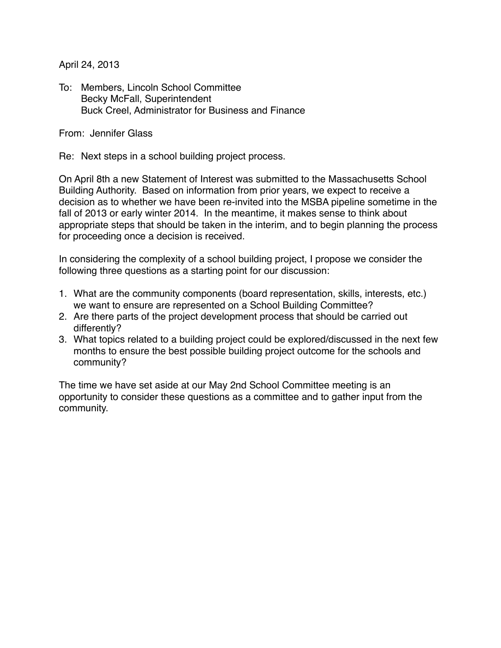April 24, 2013

To: Members, Lincoln School Committee Becky McFall, Superintendent Buck Creel, Administrator for Business and Finance

From: Jennifer Glass

Re: Next steps in a school building project process.

On April 8th a new Statement of Interest was submitted to the Massachusetts School Building Authority. Based on information from prior years, we expect to receive a decision as to whether we have been re-invited into the MSBA pipeline sometime in the fall of 2013 or early winter 2014. In the meantime, it makes sense to think about appropriate steps that should be taken in the interim, and to begin planning the process for proceeding once a decision is received.

In considering the complexity of a school building project, I propose we consider the following three questions as a starting point for our discussion:

- 1. What are the community components (board representation, skills, interests, etc.) we want to ensure are represented on a School Building Committee?
- 2. Are there parts of the project development process that should be carried out differently?
- 3. What topics related to a building project could be explored/discussed in the next few months to ensure the best possible building project outcome for the schools and community?

The time we have set aside at our May 2nd School Committee meeting is an opportunity to consider these questions as a committee and to gather input from the community.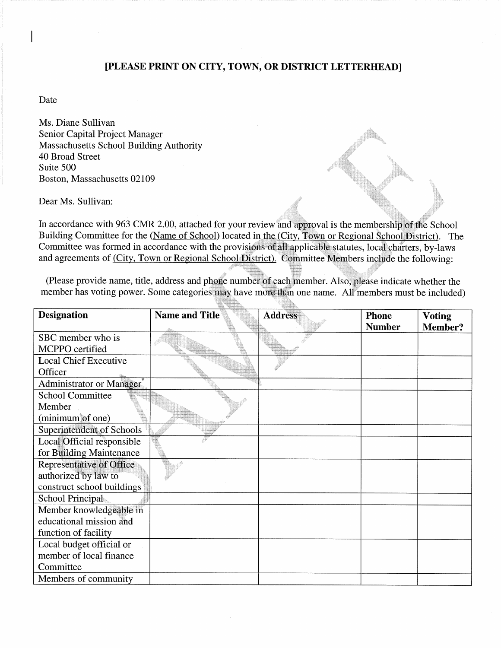## [PLEASE PRINT ON CITY, TOWN, OR DISTRICT LETTERHEAD]

Date

Ms. Diane Sullivan Senior Capital Project Manager **Massachusetts School Building Authority** 40 Broad Street Suite 500 Boston, Massachusetts 02109

Dear Ms. Sullivan:

In accordance with 963 CMR 2.00, attached for your review and approval is the membership of the School Building Committee for the (Name of School) located in the (City, Town or Regional School District). The Committee was formed in accordance with the provisions of all applicable statutes, local charters, by-laws and agreements of (City, Town or Regional School District). Committee Members include the following:

(Please provide name, title, address and phone number of each member. Also, please indicate whether the member has voting power. Some categories may have more than one name. All members must be included)

ħ.

| <b>Designation</b>                    | Name and Title | <b>Address</b> | <b>Phone</b>  | <b>Voting</b>  |
|---------------------------------------|----------------|----------------|---------------|----------------|
|                                       |                |                | <b>Number</b> | <b>Member?</b> |
| SBC member who is                     |                |                |               |                |
| MCPPO certified                       |                |                |               |                |
| <b>Local Chief Executive</b>          |                |                |               |                |
| Officer                               |                |                |               |                |
| Administrator or Manager <sup>®</sup> |                |                |               |                |
| <b>School Committee</b>               |                |                |               |                |
| Member                                |                |                |               |                |
| (minimum of one)                      |                |                |               |                |
| Superintendent of Schools             |                |                |               |                |
| Local Official responsible            |                |                |               |                |
| for Building Maintenance              |                |                |               |                |
| <b>Representative of Office</b>       |                |                |               |                |
| authorized by law to                  |                |                |               |                |
| construct school buildings            |                |                |               |                |
| School Principal                      |                |                |               |                |
| Member knowledgeable in               |                |                |               |                |
| educational mission and               |                |                |               |                |
| function of facility                  |                |                |               |                |
| Local budget official or              |                |                |               |                |
| member of local finance               |                |                |               |                |
| Committee                             |                |                |               |                |
| Members of community                  |                |                |               |                |